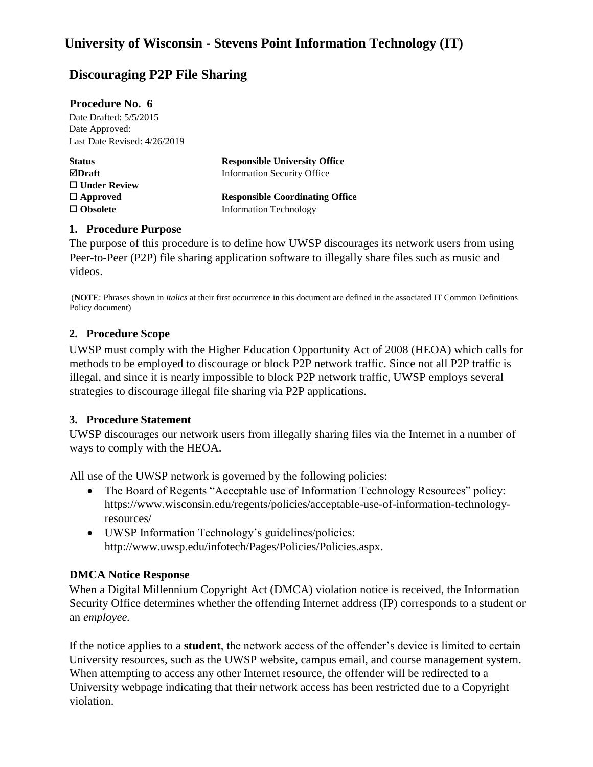# **Discouraging P2P File Sharing**

| <b>Procedure No. 6</b>       |                                        |
|------------------------------|----------------------------------------|
| Date Drafted: 5/5/2015       |                                        |
| Date Approved:               |                                        |
| Last Date Revised: 4/26/2019 |                                        |
| <b>Status</b>                | <b>Responsible University Office</b>   |
| $\boxdot$ Draft              | <b>Information Security Office</b>     |
| $\Box$ Under Review          |                                        |
| $\Box$ Approved              | <b>Responsible Coordinating Office</b> |

**Obsolete** Information Technology

#### **1. Procedure Purpose**

The purpose of this procedure is to define how UWSP discourages its network users from using Peer-to-Peer (P2P) file sharing application software to illegally share files such as music and videos.

(**NOTE**: Phrases shown in *italics* at their first occurrence in this document are defined in the associated IT Common Definitions Policy document)

#### **2. Procedure Scope**

UWSP must comply with the Higher Education Opportunity Act of 2008 (HEOA) which calls for methods to be employed to discourage or block P2P network traffic. Since not all P2P traffic is illegal, and since it is nearly impossible to block P2P network traffic, UWSP employs several strategies to discourage illegal file sharing via P2P applications.

#### **3. Procedure Statement**

UWSP discourages our network users from illegally sharing files via the Internet in a number of ways to comply with the HEOA.

All use of the UWSP network is governed by the following policies:

- The Board of Regents "Acceptable use of Information Technology Resources" policy: https://www.wisconsin.edu/regents/policies/acceptable-use-of-information-technologyresources/
- UWSP Information Technology's guidelines/policies: http://www.uwsp.edu/infotech/Pages/Policies/Policies.aspx.

## **DMCA Notice Response**

When a Digital Millennium Copyright Act (DMCA) violation notice is received, the Information Security Office determines whether the offending Internet address (IP) corresponds to a student or an *employee.* 

If the notice applies to a **student**, the network access of the offender's device is limited to certain University resources, such as the UWSP website, campus email, and course management system. When attempting to access any other Internet resource, the offender will be redirected to a University webpage indicating that their network access has been restricted due to a Copyright violation.